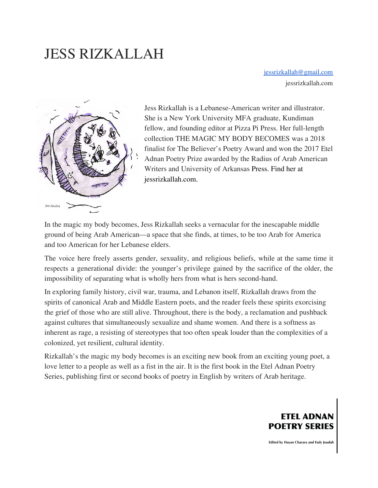# JESS RIZKALLAH

[jessrizkallah@gmail.com](mailto:jessrizkallah@gmail.com) jessrizkallah.com



Jess Rizkallah is a Lebanese-American writer and illustrator. She is a New York University MFA graduate, Kundiman fellow, and founding editor at Pizza Pi Press. Her full-length collection THE MAGIC MY BODY BECOMES was a 2018 finalist for The Believer's Poetry Award and won the 2017 Etel Adnan Poetry Prize awarded by the Radius of Arab American Writers and University of Arkansas Press. Find her at jessrizkallah.com.

In the magic my body becomes, Jess Rizkallah seeks a vernacular for the inescapable middle ground of being Arab American—a space that she finds, at times, to be too Arab for America and too American for her Lebanese elders.

The voice here freely asserts gender, sexuality, and religious beliefs, while at the same time it respects a generational divide: the younger's privilege gained by the sacrifice of the older, the impossibility of separating what is wholly hers from what is hers second-hand.

In exploring family history, civil war, trauma, and Lebanon itself, Rizkallah draws from the spirits of canonical Arab and Middle Eastern poets, and the reader feels these spirits exorcising the grief of those who are still alive. Throughout, there is the body, a reclamation and pushback against cultures that simultaneously sexualize and shame women. And there is a softness as inherent as rage, a resisting of stereotypes that too often speak louder than the complexities of a colonized, yet resilient, cultural identity.

Rizkallah's the magic my body becomes is an exciting new book from an exciting young poet, a love letter to a people as well as a fist in the air. It is the first book in the Etel Adnan Poetry Series, publishing first or second books of poetry in English by writers of Arab heritage.



Edited by Hayan Charara and Fady Joudah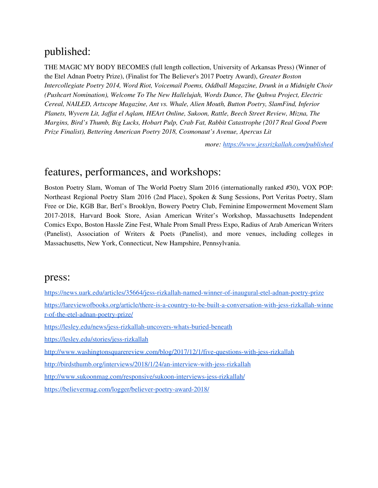# published:

THE MAGIC MY BODY BECOMES (full length collection, University of Arkansas Press) (Winner of the Etel Adnan Poetry Prize), (Finalist for The Believer's 2017 Poetry Award), *Greater Boston Intercollegiate Poetry 2014, Word Riot, Voicemail Poems, Oddball Magazine, Drunk in a Midnight Choir (Pushcart Nomination), Welcome To The New Hallelujah, Words Dance, The Qahwa Project, Electric Cereal, NAILED, Artscope Magazine, Ant vs. Whale, Alien Mouth, Button Poetry, SlamFind, Inferior Planets, Wyvern Lit, Jaf at el Aqlam, HEArt Online, Sukoon, Rattle, Beech Street Review, Mizna, The Margins, Bird's Thumb, Big Lucks, Hobart Pulp, Crab Fat, Rabbit Catastrophe (2017 Real Good Poem Prize Finalist), Bettering American Poetry 2018, Cosmonaut's Avenue, Apercus Lit*

*more: <https://www.jessrizkallah.com/published>*

## features, performances, and workshops:

Boston Poetry Slam, Woman of The World Poetry Slam 2016 (internationally ranked #30), VOX POP: Northeast Regional Poetry Slam 2016 (2nd Place), Spoken & Sung Sessions, Port Veritas Poetry, Slam Free or Die, KGB Bar, Berl's Brooklyn, Bowery Poetry Club, Feminine Empowerment Movement Slam 2017-2018, Harvard Book Store, Asian American Writer's Workshop, Massachusetts Independent Comics Expo, Boston Hassle Zine Fest, Whale Prom Small Press Expo, Radius of Arab American Writers (Panelist), Association of Writers & Poets (Panelist), and more venues, including colleges in Massachusetts, New York, Connecticut, New Hampshire, Pennsylvania.

#### press:

<https://news.uark.edu/articles/35664/jess-rizkallah-named-winner-of-inaugural-etel-adnan-poetry-prize>

[https://lareviewofbooks.org/article/there-is-a-country-to-be-built-a-conversation-with-jess-rizkallah-winne](https://lareviewofbooks.org/article/there-is-a-country-to-be-built-a-conversation-with-jess-rizkallah-winner-of-the-etel-adnan-poetry-prize/) [r-of-the-etel-adnan-poetry-prize/](https://lareviewofbooks.org/article/there-is-a-country-to-be-built-a-conversation-with-jess-rizkallah-winner-of-the-etel-adnan-poetry-prize/)

<https://lesley.edu/news/jess-rizkallah-uncovers-whats-buried-beneath>

<https://lesley.edu/stories/jess-rizkallah>

```
http://www.washingtonsquarereview.com/blog/2017/12/1/five-questions-with-jess-rizkallah
```
<http://birdsthumb.org/interviews/2018/1/24/an-interview-with-jess-rizkallah>

<http://www.sukoonmag.com/responsive/sukoon-interviews-jess-rizkallah/>

<https://believermag.com/logger/believer-poetry-award-2018/>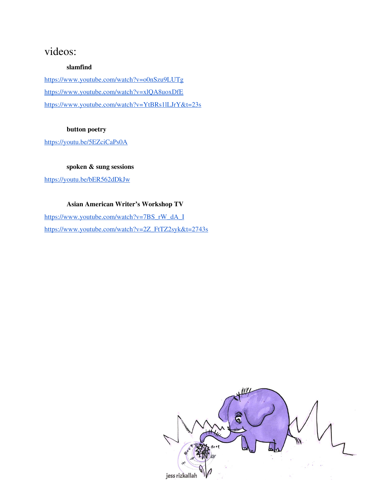# videos:

#### **slamfind**

<https://www.youtube.com/watch?v=o0nSzu9LUTg> <https://www.youtube.com/watch?v=xlQA8uoxDfE> <https://www.youtube.com/watch?v=YtBRs1lLJrY&t=23s>

#### **button poetry**

<https://youtu.be/5EZciCaPs0A>

#### **spoken & sung sessions**

<https://youtu.be/bER562dDkJw>

#### **Asian American Writer's Workshop TV**

[https://www.youtube.com/watch?v=7BS\\_rW\\_dA\\_I](https://www.youtube.com/watch?v=7BS_rW_dA_I) [https://www.youtube.com/watch?v=2Z\\_FtTZ2syk&t=2743s](https://www.youtube.com/watch?v=2Z_FtTZ2syk&t=2743s)

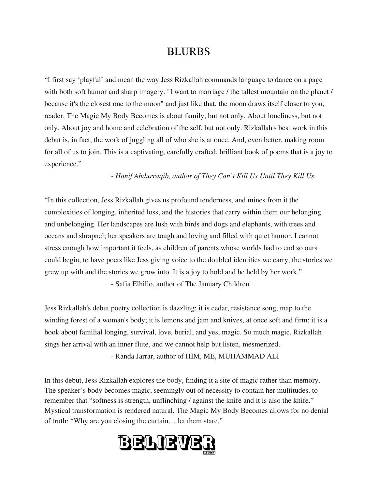### BLURBS

"I first say 'playful' and mean the way Jess Rizkallah commands language to dance on a page with both soft humor and sharp imagery. "I want to marriage / the tallest mountain on the planet / because it's the closest one to the moon" and just like that, the moon draws itself closer to you, reader. The Magic My Body Becomes is about family, but not only. About loneliness, but not only. About joy and home and celebration of the self, but not only. Rizkallah's best work in this debut is, in fact, the work of juggling all of who she is at once. And, even better, making room for all of us to join. This is a captivating, carefully crafted, brilliant book of poems that is a joy to experience."

*- Hanif Abdurraqib, author of They Can't Kill Us Until They Kill Us*

"In this collection, Jess Rizkallah gives us profound tenderness, and mines from it the complexities of longing, inherited loss, and the histories that carry within them our belonging and unbelonging. Her landscapes are lush with birds and dogs and elephants, with trees and oceans and shrapnel; her speakers are tough and loving and filled with quiet humor. I cannot stress enough how important it feels, as children of parents whose worlds had to end so ours could begin, to have poets like Jess giving voice to the doubled identities we carry, the stories we grew up with and the stories we grow into. It is a joy to hold and be held by her work." - Safia Elhillo, author of The January Children

Jess Rizkallah's debut poetry collection is dazzling; it is cedar, resistance song, map to the winding forest of a woman's body; it is lemons and jam and knives, at once soft and firm; it is a book about familial longing, survival, love, burial, and yes, magic. So much magic. Rizkallah sings her arrival with an inner flute, and we cannot help but listen, mesmerized. - Randa Jarrar, author of HIM, ME, MUHAMMAD ALI

In this debut, Jess Rizkallah explores the body, finding it a site of magic rather than memory. The speaker's body becomes magic, seemingly out of necessity to contain her multitudes, to remember that "softness is strength, unflinching / against the knife and it is also the knife." Mystical transformation is rendered natural. The Magic My Body Becomes allows for no denial of truth: "Why are you closing the curtain… let them stare."

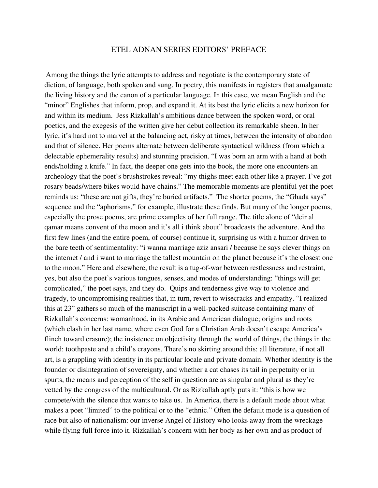#### ETEL ADNAN SERIES EDITORS' PREFACE

Among the things the lyric attempts to address and negotiate is the contemporary state of diction, of language, both spoken and sung. In poetry, this manifests in registers that amalgamate the living history and the canon of a particular language. In this case, we mean English and the "minor" Englishes that inform, prop, and expand it. At its best the lyric elicits a new horizon for and within its medium. Jess Rizkallah's ambitious dance between the spoken word, or oral poetics, and the exegesis of the written give her debut collection its remarkable sheen. In her lyric, it's hard not to marvel at the balancing act, risky at times, between the intensity of abandon and that of silence. Her poems alternate between deliberate syntactical wildness (from which a delectable ephemerality results) and stunning precision. "I was born an arm with a hand at both ends/holding a knife." In fact, the deeper one gets into the book, the more one encounters an archeology that the poet's brushstrokes reveal: "my thighs meet each other like a prayer. I've got rosary beads/where bikes would have chains." The memorable moments are plentiful yet the poet reminds us: "these are not gifts, they're buried artifacts." The shorter poems, the "Ghada says" sequence and the "aphorisms," for example, illustrate these finds. But many of the longer poems, especially the prose poems, are prime examples of her full range. The title alone of "deir al qamar means convent of the moon and it's all i think about" broadcasts the adventure. And the first few lines (and the entire poem, of course) continue it, surprising us with a humor driven to the bare teeth of sentimentality: "i wanna marriage aziz ansari / because he says clever things on the internet / and i want to marriage the tallest mountain on the planet because it's the closest one to the moon." Here and elsewhere, the result is a tug-of-war between restlessness and restraint, yes, but also the poet's various tongues, senses, and modes of understanding: "things will get complicated," the poet says, and they do. Quips and tenderness give way to violence and tragedy, to uncompromising realities that, in turn, revert to wisecracks and empathy. "I realized this at 23" gathers so much of the manuscript in a well-packed suitcase containing many of Rizkallah's concerns: womanhood, in its Arabic and American dialogue; origins and roots (which clash in her last name, where even God for a Christian Arab doesn't escape America's flinch toward erasure); the insistence on objectivity through the world of things, the things in the world: toothpaste and a child's crayons. There's no skirting around this: all literature, if not all art, is a grappling with identity in its particular locale and private domain. Whether identity is the founder or disintegration of sovereignty, and whether a cat chases its tail in perpetuity or in spurts, the means and perception of the self in question are as singular and plural as they're vetted by the congress of the multicultural. Or as Rizkallah aptly puts it: "this is how we compete/with the silence that wants to take us. In America, there is a default mode about what makes a poet "limited" to the political or to the "ethnic." Often the default mode is a question of race but also of nationalism: our inverse Angel of History who looks away from the wreckage while flying full force into it. Rizkallah's concern with her body as her own and as product of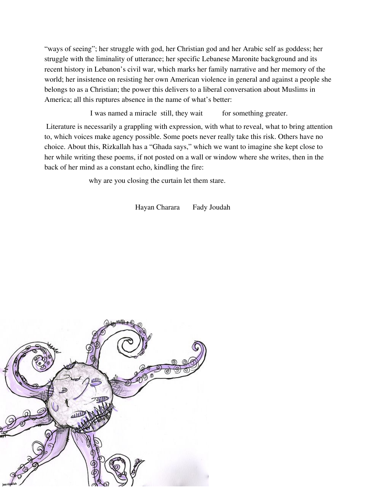"ways of seeing"; her struggle with god, her Christian god and her Arabic self as goddess; her struggle with the liminality of utterance; her specific Lebanese Maronite background and its recent history in Lebanon's civil war, which marks her family narrative and her memory of the world; her insistence on resisting her own American violence in general and against a people she belongs to as a Christian; the power this delivers to a liberal conversation about Muslims in America; all this ruptures absence in the name of what's better:

I was named a miracle still, they wait for something greater.

Literature is necessarily a grappling with expression, with what to reveal, what to bring attention to, which voices make agency possible. Some poets never really take this risk. Others have no choice. About this, Rizkallah has a "Ghada says," which we want to imagine she kept close to her while writing these poems, if not posted on a wall or window where she writes, then in the back of her mind as a constant echo, kindling the fire:

why are you closing the curtain let them stare.

Hayan Charara Fady Joudah